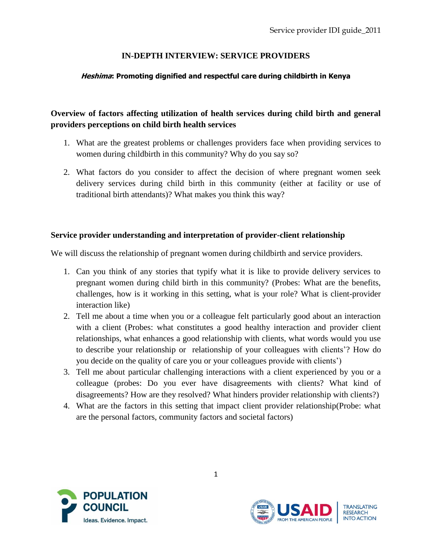## **IN-DEPTH INTERVIEW: SERVICE PROVIDERS**

### **Heshima: Promoting dignified and respectful care during childbirth in Kenya**

# **Overview of factors affecting utilization of health services during child birth and general providers perceptions on child birth health services**

- 1. What are the greatest problems or challenges providers face when providing services to women during childbirth in this community? Why do you say so?
- 2. What factors do you consider to affect the decision of where pregnant women seek delivery services during child birth in this community (either at facility or use of traditional birth attendants)? What makes you think this way?

#### **Service provider understanding and interpretation of provider-client relationship**

We will discuss the relationship of pregnant women during childbirth and service providers.

- 1. Can you think of any stories that typify what it is like to provide delivery services to pregnant women during child birth in this community? (Probes: What are the benefits, challenges, how is it working in this setting, what is your role? What is client-provider interaction like)
- 2. Tell me about a time when you or a colleague felt particularly good about an interaction with a client (Probes: what constitutes a good healthy interaction and provider client relationships, what enhances a good relationship with clients, what words would you use to describe your relationship or relationship of your colleagues with clients'? How do you decide on the quality of care you or your colleagues provide with clients')
- 3. Tell me about particular challenging interactions with a client experienced by you or a colleague (probes: Do you ever have disagreements with clients? What kind of disagreements? How are they resolved? What hinders provider relationship with clients?)
- 4. What are the factors in this setting that impact client provider relationship(Probe: what are the personal factors, community factors and societal factors)



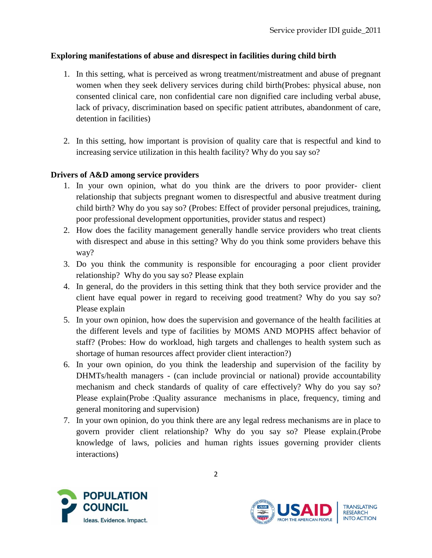### **Exploring manifestations of abuse and disrespect in facilities during child birth**

- 1. In this setting, what is perceived as wrong treatment/mistreatment and abuse of pregnant women when they seek delivery services during child birth(Probes: physical abuse, non consented clinical care, non confidential care non dignified care including verbal abuse, lack of privacy, discrimination based on specific patient attributes, abandonment of care, detention in facilities)
- 2. In this setting, how important is provision of quality care that is respectful and kind to increasing service utilization in this health facility? Why do you say so?

#### **Drivers of A&D among service providers**

- 1. In your own opinion, what do you think are the drivers to poor provider- client relationship that subjects pregnant women to disrespectful and abusive treatment during child birth? Why do you say so? (Probes: Effect of provider personal prejudices, training, poor professional development opportunities, provider status and respect)
- 2. How does the facility management generally handle service providers who treat clients with disrespect and abuse in this setting? Why do you think some providers behave this way?
- 3. Do you think the community is responsible for encouraging a poor client provider relationship? Why do you say so? Please explain
- 4. In general, do the providers in this setting think that they both service provider and the client have equal power in regard to receiving good treatment? Why do you say so? Please explain
- 5. In your own opinion, how does the supervision and governance of the health facilities at the different levels and type of facilities by MOMS AND MOPHS affect behavior of staff? (Probes: How do workload, high targets and challenges to health system such as shortage of human resources affect provider client interaction?)
- 6. In your own opinion, do you think the leadership and supervision of the facility by DHMTs/health managers - (can include provincial or national) provide accountability mechanism and check standards of quality of care effectively? Why do you say so? Please explain(Probe :Quality assurance mechanisms in place, frequency, timing and general monitoring and supervision)
- 7. In your own opinion, do you think there are any legal redress mechanisms are in place to govern provider client relationship? Why do you say so? Please explain.(Probe knowledge of laws, policies and human rights issues governing provider clients interactions)